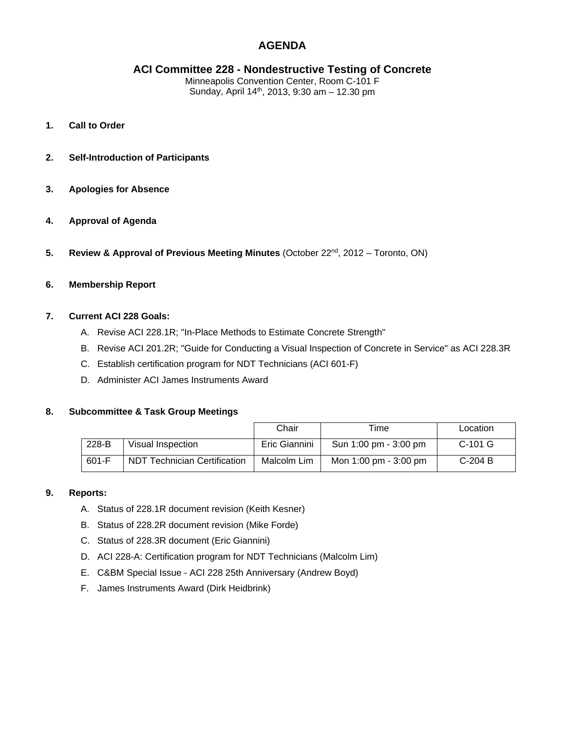# **AGENDA**

# **ACI Committee 228 - Nondestructive Testing of Concrete**

Minneapolis Convention Center, Room C-101 F Sunday, April 14th, 2013, 9:30 am – 12.30 pm

- **1. Call to Order**
- **2. Self-Introduction of Participants**
- **3. Apologies for Absence**
- **4. Approval of Agenda**
- **5.** Review & Approval of Previous Meeting Minutes (October 22<sup>nd</sup>, 2012 Toronto, ON)
- **6. Membership Report**

## **7. Current ACI 228 Goals:**

- A. Revise ACI 228.1R; "In-Place Methods to Estimate Concrete Strength"
- B. Revise ACI 201.2R; "Guide for Conducting a Visual Inspection of Concrete in Service" as ACI 228.3R
- C. Establish certification program for NDT Technicians (ACI 601-F)
- D. Administer ACI James Instruments Award

#### **8. Subcommittee & Task Group Meetings**

|       |                                     | Chair         | Time                                    | Location  |
|-------|-------------------------------------|---------------|-----------------------------------------|-----------|
| 228-B | Visual Inspection                   | Eric Giannini | Sun 1:00 pm - 3:00 pm                   | $C-101$ G |
| 601-F | <b>NDT Technician Certification</b> | Malcolm Lim   | Mon $1:00 \text{ pm} - 3:00 \text{ pm}$ | $C-204B$  |

#### **9. Reports:**

- A. Status of 228.1R document revision (Keith Kesner)
- B. Status of 228.2R document revision (Mike Forde)
- C. Status of 228.3R document (Eric Giannini)
- D. ACI 228-A: Certification program for NDT Technicians (Malcolm Lim)
- E. C&BM Special Issue ACI 228 25th Anniversary (Andrew Boyd)
- F. James Instruments Award (Dirk Heidbrink)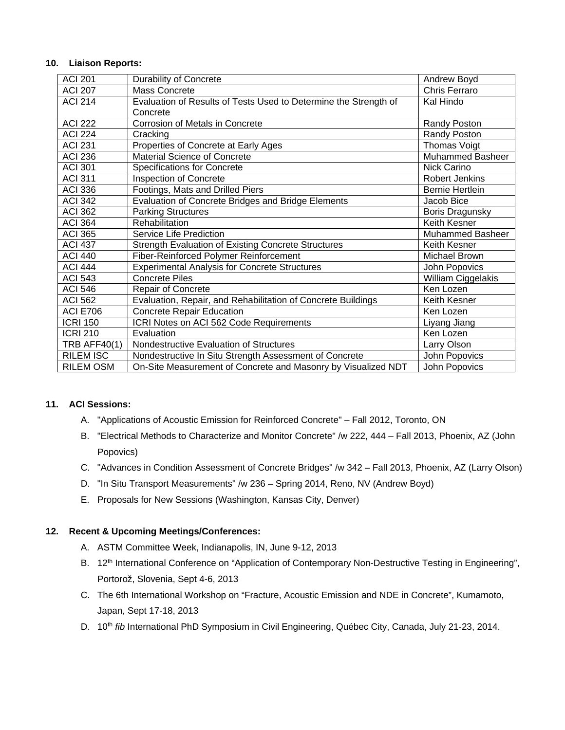## **10. Liaison Reports:**

| <b>ACI 201</b>      | <b>Durability of Concrete</b>                                    | Andrew Boyd             |
|---------------------|------------------------------------------------------------------|-------------------------|
| <b>ACI 207</b>      | Mass Concrete                                                    | Chris Ferraro           |
| <b>ACI 214</b>      | Evaluation of Results of Tests Used to Determine the Strength of | Kal Hindo               |
|                     | Concrete                                                         |                         |
| <b>ACI 222</b>      | Corrosion of Metals in Concrete                                  | Randy Poston            |
| <b>ACI 224</b>      | Cracking                                                         | <b>Randy Poston</b>     |
| <b>ACI 231</b>      | Properties of Concrete at Early Ages                             | Thomas Voigt            |
| <b>ACI 236</b>      | Material Science of Concrete                                     | <b>Muhammed Basheer</b> |
| <b>ACI 301</b>      | <b>Specifications for Concrete</b>                               | Nick Carino             |
| <b>ACI 311</b>      | Inspection of Concrete                                           | <b>Robert Jenkins</b>   |
| <b>ACI 336</b>      | Footings, Mats and Drilled Piers                                 | <b>Bernie Hertlein</b>  |
| <b>ACI 342</b>      | Evaluation of Concrete Bridges and Bridge Elements               | Jacob Bice              |
| <b>ACI 362</b>      | <b>Parking Structures</b>                                        | Boris Dragunsky         |
| <b>ACI 364</b>      | Rehabilitation                                                   | Keith Kesner            |
| <b>ACI 365</b>      | Service Life Prediction                                          | Muhammed Basheer        |
| <b>ACI 437</b>      | <b>Strength Evaluation of Existing Concrete Structures</b>       | Keith Kesner            |
| <b>ACI 440</b>      | Fiber-Reinforced Polymer Reinforcement                           | Michael Brown           |
| <b>ACI 444</b>      | <b>Experimental Analysis for Concrete Structures</b>             | John Popovics           |
| <b>ACI 543</b>      | Concrete Piles                                                   | William Ciggelakis      |
| <b>ACI 546</b>      | Repair of Concrete                                               | Ken Lozen               |
| <b>ACI 562</b>      | Evaluation, Repair, and Rehabilitation of Concrete Buildings     | Keith Kesner            |
| <b>ACI E706</b>     | <b>Concrete Repair Education</b>                                 | Ken Lozen               |
| <b>ICRI 150</b>     | ICRI Notes on ACI 562 Code Requirements                          | Liyang Jiang            |
| <b>ICRI 210</b>     | Evaluation                                                       | Ken Lozen               |
| <b>TRB AFF40(1)</b> | Nondestructive Evaluation of Structures                          | Larry Olson             |
| <b>RILEM ISC</b>    | Nondestructive In Situ Strength Assessment of Concrete           | John Popovics           |
| <b>RILEM OSM</b>    | On-Site Measurement of Concrete and Masonry by Visualized NDT    | John Popovics           |

## **11. ACI Sessions:**

- A. "Applications of Acoustic Emission for Reinforced Concrete" Fall 2012, Toronto, ON
- B. "Electrical Methods to Characterize and Monitor Concrete" /w 222, 444 Fall 2013, Phoenix, AZ (John Popovics)
- C. "Advances in Condition Assessment of Concrete Bridges" /w 342 Fall 2013, Phoenix, AZ (Larry Olson)
- D. "In Situ Transport Measurements" /w 236 Spring 2014, Reno, NV (Andrew Boyd)
- E. Proposals for New Sessions (Washington, Kansas City, Denver)

## **12. Recent & Upcoming Meetings/Conferences:**

- A. ASTM Committee Week, Indianapolis, IN, June 9-12, 2013
- B. 12<sup>th</sup> International Conference on "Application of Contemporary Non-Destructive Testing in Engineering", Portorož, Slovenia, Sept 4-6, 2013
- C. The 6th International Workshop on "Fracture, Acoustic Emission and NDE in Concrete", Kumamoto, Japan, Sept 17-18, 2013
- D. 10th *fib* International PhD Symposium in Civil Engineering, Québec City, Canada, July 21-23, 2014.